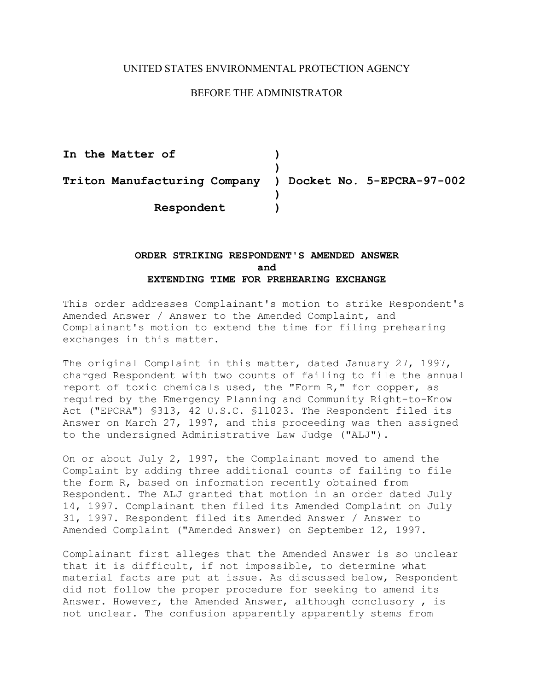## UNITED STATES ENVIRONMENTAL PROTECTION AGENCY

## BEFORE THE ADMINISTRATOR

 **Triton Manufacturing Company ) Docket No. 5-EPCRA-97-002**  In the Matter of  $)$ **) ) Respondent )** 

## **ORDER STRIKING RESPONDENT'S AMENDED ANSWER and EXTENDING TIME FOR PREHEARING EXCHANGE**

This order addresses Complainant's motion to strike Respondent's Amended Answer / Answer to the Amended Complaint, and Complainant's motion to extend the time for filing prehearing exchanges in this matter.

The original Complaint in this matter, dated January 27, 1997, charged Respondent with two counts of failing to file the annual report of toxic chemicals used, the "Form R," for copper, as required by the Emergency Planning and Community Right-to-Know Act ("EPCRA") §313, 42 U.S.C. §11023. The Respondent filed its Answer on March 27, 1997, and this proceeding was then assigned to the undersigned Administrative Law Judge ("ALJ").

On or about July 2, 1997, the Complainant moved to amend the Complaint by adding three additional counts of failing to file the form R, based on information recently obtained from Respondent. The ALJ granted that motion in an order dated July 14, 1997. Complainant then filed its Amended Complaint on July 31, 1997. Respondent filed its Amended Answer / Answer to Amended Complaint ("Amended Answer) on September 12, 1997.

Complainant first alleges that the Amended Answer is so unclear that it is difficult, if not impossible, to determine what material facts are put at issue. As discussed below, Respondent did not follow the proper procedure for seeking to amend its Answer. However, the Amended Answer, although conclusory , is not unclear. The confusion apparently apparently stems from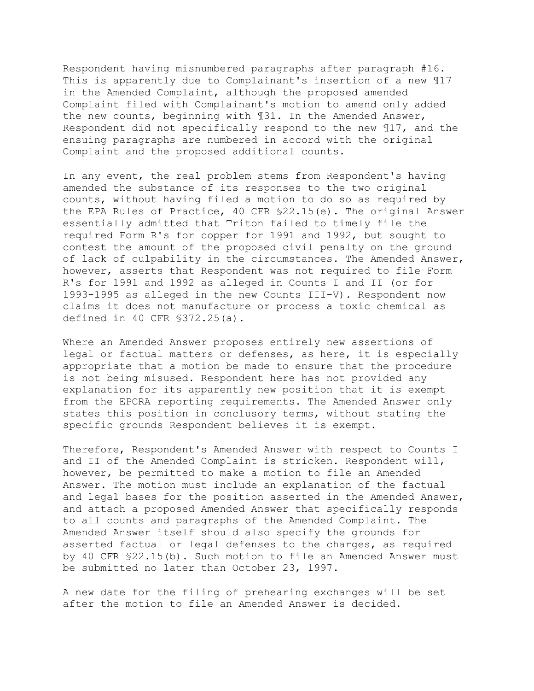Respondent having misnumbered paragraphs after paragraph #16. This is apparently due to Complainant's insertion of a new ¶17 in the Amended Complaint, although the proposed amended Complaint filed with Complainant's motion to amend only added the new counts, beginning with ¶31. In the Amended Answer, Respondent did not specifically respond to the new ¶17, and the ensuing paragraphs are numbered in accord with the original Complaint and the proposed additional counts.

In any event, the real problem stems from Respondent's having amended the substance of its responses to the two original counts, without having filed a motion to do so as required by the EPA Rules of Practice, 40 CFR §22.15(e). The original Answer essentially admitted that Triton failed to timely file the required Form R's for copper for 1991 and 1992, but sought to contest the amount of the proposed civil penalty on the ground of lack of culpability in the circumstances. The Amended Answer, however, asserts that Respondent was not required to file Form R's for 1991 and 1992 as alleged in Counts I and II (or for 1993-1995 as alleged in the new Counts III-V). Respondent now claims it does not manufacture or process a toxic chemical as defined in 40 CFR §372.25(a).

Where an Amended Answer proposes entirely new assertions of legal or factual matters or defenses, as here, it is especially appropriate that a motion be made to ensure that the procedure is not being misused. Respondent here has not provided any explanation for its apparently new position that it is exempt from the EPCRA reporting requirements. The Amended Answer only states this position in conclusory terms, without stating the specific grounds Respondent believes it is exempt.

Therefore, Respondent's Amended Answer with respect to Counts I and II of the Amended Complaint is stricken. Respondent will, however, be permitted to make a motion to file an Amended Answer. The motion must include an explanation of the factual and legal bases for the position asserted in the Amended Answer, and attach a proposed Amended Answer that specifically responds to all counts and paragraphs of the Amended Complaint. The Amended Answer itself should also specify the grounds for asserted factual or legal defenses to the charges, as required by 40 CFR §22.15(b). Such motion to file an Amended Answer must be submitted no later than October 23, 1997.

A new date for the filing of prehearing exchanges will be set after the motion to file an Amended Answer is decided.